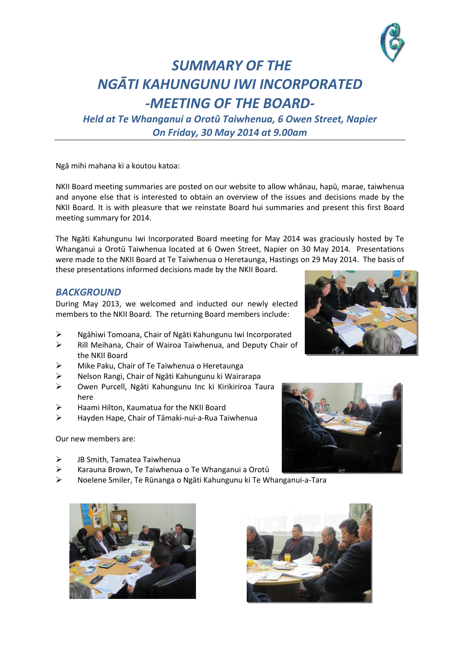

## *SUMMARY OF THE NGĀTI KAHUNGUNU IWI INCORPORATED -MEETING OF THE BOARD-*

*Held at Te Whanganui a Orotū Taiwhenua, 6 Owen Street, Napier On Friday, 30 May 2014 at 9.00am*

Ngā mihi mahana ki a koutou katoa:

NKII Board meeting summaries are posted on our website to allow whānau, hapū, marae, taiwhenua and anyone else that is interested to obtain an overview of the issues and decisions made by the NKII Board. It is with pleasure that we reinstate Board hui summaries and present this first Board meeting summary for 2014.

The Ngāti Kahungunu Iwi Incorporated Board meeting for May 2014 was graciously hosted by Te Whanganui a Orotū Taiwhenua located at 6 Owen Street, Napier on 30 May 2014. Presentations were made to the NKII Board at Te Taiwhenua o Heretaunga, Hastings on 29 May 2014. The basis of these presentations informed decisions made by the NKII Board.

## *BACKGROUND*

During May 2013, we welcomed and inducted our newly elected members to the NKII Board. The returning Board members include:

- Ngāhiwi Tomoana, Chair of Ngāti Kahungunu Iwi Incorporated
- $\triangleright$  Rill Meihana, Chair of Wairoa Taiwhenua, and Deputy Chair of the NKII Board
- Mike Paku, Chair of Te Taiwhenua o Heretaunga
- Nelson Rangi, Chair of Ngāti Kahungunu ki Wairarapa
- Owen Purcell, Ngāti Kahungunu Inc ki Kirikiriroa Taura here
- $\triangleright$  Haami Hilton, Kaumatua for the NKII Board
- Hayden Hape, Chair of Tāmaki-nui-a-Rua Taiwhenua

Our new members are:

- JB Smith, Tamatea Taiwhenua
- Karauna Brown, Te Taiwhenua o Te Whanganui a Orotū
- Noelene Smiler, Te Rūnanga o Ngāti Kahungunu ki Te Whanganui-a-Tara







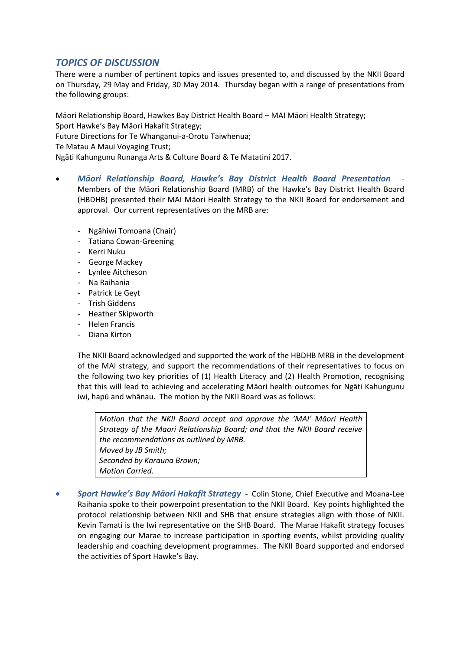## *TOPICS OF DISCUSSION*

There were a number of pertinent topics and issues presented to, and discussed by the NKII Board on Thursday, 29 May and Friday, 30 May 2014. Thursday began with a range of presentations from the following groups:

Māori Relationship Board, Hawkes Bay District Health Board – MAI Māori Health Strategy; Sport Hawke's Bay Māori Hakafit Strategy;

Future Directions for Te Whanganui-a-Orotu Taiwhenua;

Te Matau A Maui Voyaging Trust;

Ngāti Kahungunu Runanga Arts & Culture Board & Te Matatini 2017.

- *Māori Relationship Board, Hawke's Bay District Health Board Presentation* Members of the Māori Relationship Board (MRB) of the Hawke's Bay District Health Board (HBDHB) presented their MAI Māori Health Strategy to the NKII Board for endorsement and approval. Our current representatives on the MRB are:
	- Ngāhiwi Tomoana (Chair)
	- Tatiana Cowan-Greening
	- Kerri Nuku
	- George Mackey
	- Lynlee Aitcheson
	- Na Raihania
	- Patrick Le Geyt
	- Trish Giddens
	- Heather Skipworth
	- Helen Francis
	- Diana Kirton

The NKII Board acknowledged and supported the work of the HBDHB MRB in the development of the MAI strategy, and support the recommendations of their representatives to focus on the following two key priorities of (1) Health Literacy and (2) Health Promotion, recognising that this will lead to achieving and accelerating Māori health outcomes for Ngāti Kahungunu iwi, hapū and whānau. The motion by the NKII Board was as follows:

*Motion that the NKII Board accept and approve the 'MAI' Māori Health Strategy of the Maori Relationship Board; and that the NKII Board receive the recommendations as outlined by MRB. Moved by JB Smith; Seconded by Karauna Brown; Motion Carried.*

 *Sport Hawke's Bay Māori Hakafit Strategy* - Colin Stone, Chief Executive and Moana-Lee Raihania spoke to their powerpoint presentation to the NKII Board. Key points highlighted the protocol relationship between NKII and SHB that ensure strategies align with those of NKII. Kevin Tamati is the Iwi representative on the SHB Board. The Marae Hakafit strategy focuses on engaging our Marae to increase participation in sporting events, whilst providing quality leadership and coaching development programmes. The NKII Board supported and endorsed the activities of Sport Hawke's Bay.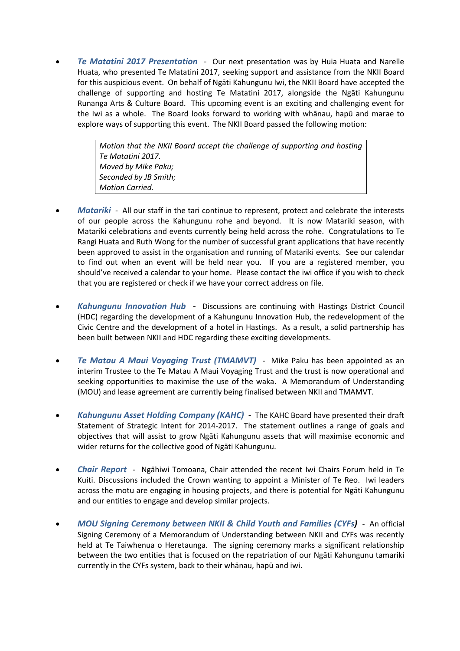*Te Matatini 2017 Presentation* - Our next presentation was by Huia Huata and Narelle Huata, who presented Te Matatini 2017, seeking support and assistance from the NKII Board for this auspicious event. On behalf of Ngāti Kahungunu Iwi, the NKII Board have accepted the challenge of supporting and hosting Te Matatini 2017, alongside the Ngāti Kahungunu Runanga Arts & Culture Board. This upcoming event is an exciting and challenging event for the Iwi as a whole. The Board looks forward to working with whānau, hapū and marae to explore ways of supporting this event. The NKII Board passed the following motion:

> *Motion that the NKII Board accept the challenge of supporting and hosting Te Matatini 2017. Moved by Mike Paku; Seconded by JB Smith; Motion Carried.*

- *Matariki* All our staff in the tari continue to represent, protect and celebrate the interests of our people across the Kahungunu rohe and beyond. It is now Matariki season, with Matariki celebrations and events currently being held across the rohe. Congratulations to Te Rangi Huata and Ruth Wong for the number of successful grant applications that have recently been approved to assist in the organisation and running of Matariki events. See our calendar to find out when an event will be held near you. If you are a registered member, you should've received a calendar to your home. Please contact the iwi office if you wish to check that you are registered or check if we have your correct address on file.
- *Kahungunu Innovation Hub* **-** Discussions are continuing with Hastings District Council (HDC) regarding the development of a Kahungunu Innovation Hub, the redevelopment of the Civic Centre and the development of a hotel in Hastings. As a result, a solid partnership has been built between NKII and HDC regarding these exciting developments.
- *Te Matau A Maui Voyaging Trust (TMAMVT)* Mike Paku has been appointed as an interim Trustee to the Te Matau A Maui Voyaging Trust and the trust is now operational and seeking opportunities to maximise the use of the waka. A Memorandum of Understanding (MOU) and lease agreement are currently being finalised between NKII and TMAMVT.
- *Kahungunu Asset Holding Company (KAHC)* The KAHC Board have presented their draft Statement of Strategic Intent for 2014-2017. The statement outlines a range of goals and objectives that will assist to grow Ngāti Kahungunu assets that will maximise economic and wider returns for the collective good of Ngāti Kahungunu.
- *Chair Report* Ngāhiwi Tomoana, Chair attended the recent Iwi Chairs Forum held in Te Kuiti. Discussions included the Crown wanting to appoint a Minister of Te Reo. Iwi leaders across the motu are engaging in housing projects, and there is potential for Ngāti Kahungunu and our entities to engage and develop similar projects.
- *MOU Signing Ceremony between NKII & Child Youth and Families (CYFs)* An official Signing Ceremony of a Memorandum of Understanding between NKII and CYFs was recently held at Te Taiwhenua o Heretaunga. The signing ceremony marks a significant relationship between the two entities that is focused on the repatriation of our Ngāti Kahungunu tamariki currently in the CYFs system, back to their whānau, hapū and iwi.